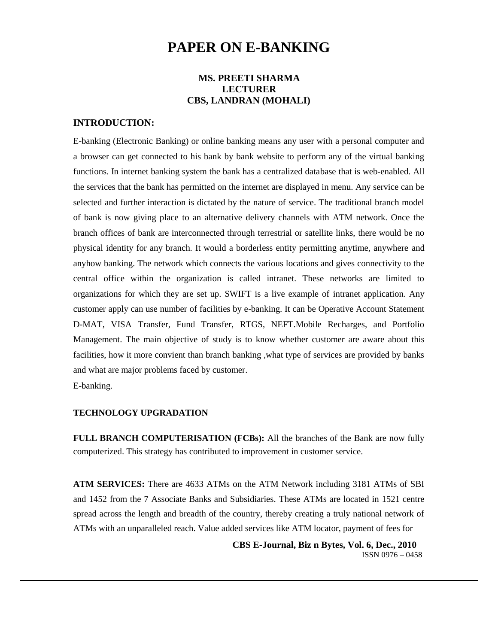# **PAPER ON E-BANKING**

# **MS. PREETI SHARMA LECTURER CBS, LANDRAN (MOHALI)**

## **INTRODUCTION:**

E-banking (Electronic Banking) or online banking means any user with a personal computer and a browser can get connected to his bank by bank website to perform any of the virtual banking functions. In internet banking system the bank has a centralized database that is web-enabled. All the services that the bank has permitted on the internet are displayed in menu. Any service can be selected and further interaction is dictated by the nature of service. The traditional branch model of bank is now giving place to an alternative delivery channels with ATM network. Once the branch offices of bank are interconnected through terrestrial or satellite links, there would be no physical identity for any branch. It would a borderless entity permitting anytime, anywhere and anyhow banking. The network which connects the various locations and gives connectivity to the central office within the organization is called intranet. These networks are limited to organizations for which they are set up. SWIFT is a live example of intranet application. Any customer apply can use number of facilities by e-banking. It can be Operative Account Statement D-MAT, VISA Transfer, Fund Transfer, RTGS, NEFT.Mobile Recharges, and Portfolio Management. The main objective of study is to know whether customer are aware about this facilities, how it more convient than branch banking ,what type of services are provided by banks and what are major problems faced by customer.

E-banking.

### **TECHNOLOGY UPGRADATION**

**FULL BRANCH COMPUTERISATION (FCBs):** All the branches of the Bank are now fully computerized. This strategy has contributed to improvement in customer service.

**ATM SERVICES:** There are 4633 ATMs on the ATM Network including 3181 ATMs of SBI and 1452 from the 7 Associate Banks and Subsidiaries. These ATMs are located in 1521 centre spread across the length and breadth of the country, thereby creating a truly national network of ATMs with an unparalleled reach. Value added services like ATM locator, payment of fees for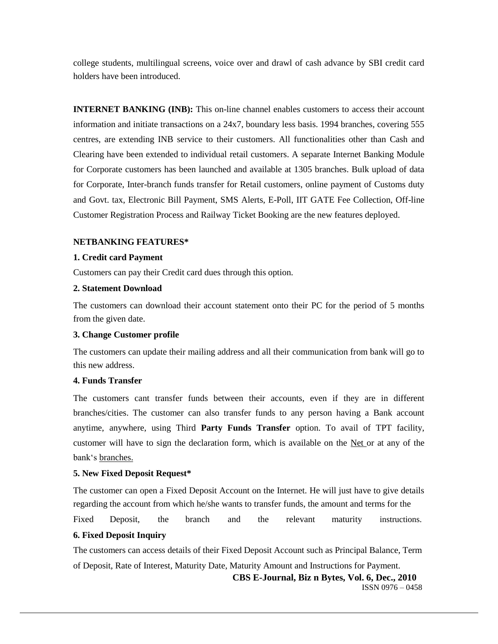college students, multilingual screens, voice over and drawl of cash advance by SBI credit card holders have been introduced.

**INTERNET BANKING (INB):** This on-line channel enables customers to access their account information and initiate transactions on a 24x7, boundary less basis. 1994 branches, covering 555 centres, are extending INB service to their customers. All functionalities other than Cash and Clearing have been extended to individual retail customers. A separate Internet Banking Module for Corporate customers has been launched and available at 1305 branches. Bulk upload of data for Corporate, Inter-branch funds transfer for Retail customers, online payment of Customs duty and Govt. tax, Electronic Bill Payment, SMS Alerts, E-Poll, IIT GATE Fee Collection, Off-line Customer Registration Process and Railway Ticket Booking are the new features deployed.

## **NETBANKING FEATURES\***

## **1. Credit card Payment**

Customers can pay their Credit card dues through this option.

# **2. Statement Download**

The customers can download their account statement onto their PC for the period of 5 months from the given date.

## **3. Change Customer profile**

The customers can update their mailing address and all their communication from bank will go to this new address.

# **4. Funds Transfer**

The customers cant transfer funds between their accounts, even if they are in different branches/cities. The customer can also transfer funds to any person having a Bank account anytime, anywhere, using Third **Party Funds Transfer** option. To avail of TPT facility, customer will have to sign the declaration form, which is available on the [Net o](http://www.hdfcbank.com/pdf_forms/third_party_transfer.pdf)r at any of the bank's [branches.](http://www.hdfcbank.com/ri/RI-branch1.asp)

## **5. New Fixed Deposit Request\***

The customer can open a Fixed Deposit Account on the Internet. He will just have to give details regarding the account from which he/she wants to transfer funds, the amount and terms for the

Fixed Deposit, the branch and the relevant maturity instructions.

# **6. Fixed Deposit Inquiry**

The customers can access details of their Fixed Deposit Account such as Principal Balance, Term of Deposit, Rate of Interest, Maturity Date, Maturity Amount and Instructions for Payment.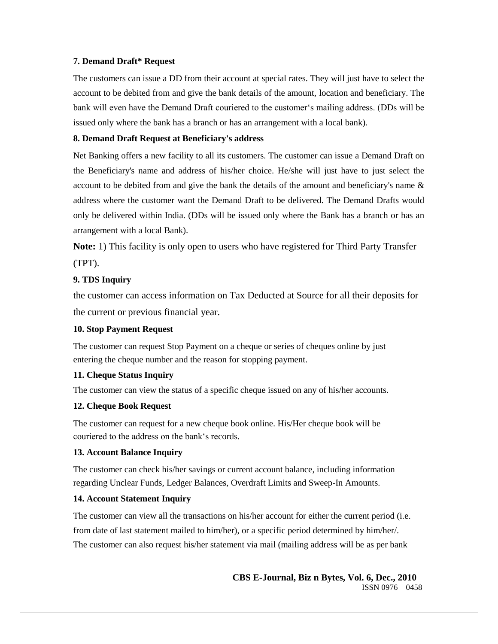# **7. Demand Draft\* Request**

The customers can issue a DD from their account at special rates. They will just have to select the account to be debited from and give the bank details of the amount, location and beneficiary. The bank will even have the Demand Draft couriered to the customer's mailing address. (DDs will be issued only where the bank has a branch or has an arrangement with a local bank).

# **8. Demand Draft Request at Beneficiary's address**

Net Banking offers a new facility to all its customers. The customer can issue a Demand Draft on the Beneficiary's name and address of his/her choice. He/she will just have to just select the account to be debited from and give the bank the details of the amount and beneficiary's name  $\&$ address where the customer want the Demand Draft to be delivered. The Demand Drafts would only be delivered within India. (DDs will be issued only where the Bank has a branch or has an arrangement with a local Bank).

**Note:** 1) This facility is only open to users who have registered for [Third Party Transfer](http://www.hdfcbank.com/pdf_forms/third_party_transfer.pdf) (TPT).

# **9. TDS Inquiry**

the customer can access information on Tax Deducted at Source for all their deposits for the current or previous financial year.

## **10. Stop Payment Request**

The customer can request Stop Payment on a cheque or series of cheques online by just entering the cheque number and the reason for stopping payment.

## **11. Cheque Status Inquiry**

The customer can view the status of a specific cheque issued on any of his/her accounts.

## **12. Cheque Book Request**

The customer can request for a new cheque book online. His/Her cheque book will be couriered to the address on the bank's records.

# **13. Account Balance Inquiry**

The customer can check his/her savings or current account balance, including information regarding Unclear Funds, Ledger Balances, Overdraft Limits and Sweep-In Amounts.

# **14. Account Statement Inquiry**

The customer can view all the transactions on his/her account for either the current period (i.e. from date of last statement mailed to him/her), or a specific period determined by him/her/. The customer can also request his/her statement via mail (mailing address will be as per bank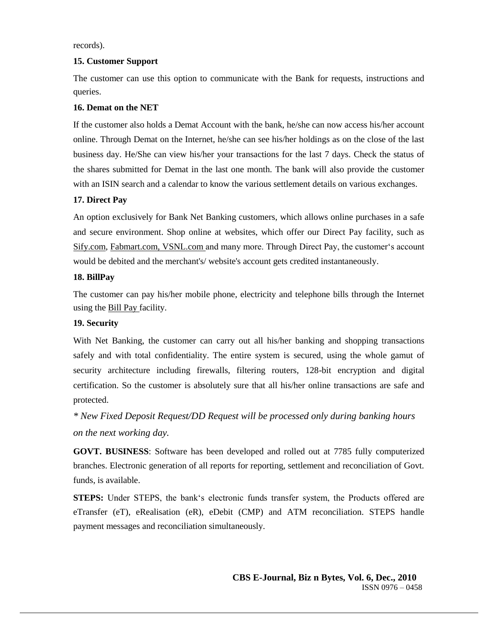records).

# **15. Customer Support**

The customer can use this option to communicate with the Bank for requests, instructions and queries.

# **16. Demat on the NET**

If the customer also holds a Demat Account with the bank, he/she can now access his/her account online. Through Demat on the Internet, he/she can see his/her holdings as on the close of the last business day. He/She can view his/her your transactions for the last 7 days. Check the status of the shares submitted for Demat in the last one month. The bank will also provide the customer with an ISIN search and a calendar to know the various settlement details on various exchanges.

# **17. Direct Pay**

An option exclusively for Bank Net Banking customers, which allows online purchases in a safe and secure environment. Shop online at websites, which offer our Direct Pay facility, such as [Sify.com, Fabmart.com,](http://www.sify.com/) [VSNL.com a](http://internet.vsnl.com/)nd many more. Through Direct Pay, the customer's account would be debited and the merchant's/ website's account gets credited instantaneously.

# **18. BillPay**

The customer can pay his/her mobile phone, electricity and telephone bills through the Internet using the [Bill Pay f](http://www.hdfcbank.com/ri/RI-EAGE-BP-intro.htm)acility.

# **19. Security**

With Net Banking, the customer can carry out all his/her banking and shopping transactions safely and with total confidentiality. The entire system is secured, using the whole gamut of security architecture including firewalls, filtering routers, 128-bit encryption and digital certification. So the customer is absolutely sure that all his/her online transactions are safe and protected.

*\* New Fixed Deposit Request/DD Request will be processed only during banking hours on the next working day.*

**GOVT. BUSINESS**: Software has been developed and rolled out at 7785 fully computerized branches. Electronic generation of all reports for reporting, settlement and reconciliation of Govt. funds, is available.

**STEPS:** Under STEPS, the bank's electronic funds transfer system, the Products offered are eTransfer (eT), eRealisation (eR), eDebit (CMP) and ATM reconciliation. STEPS handle payment messages and reconciliation simultaneously.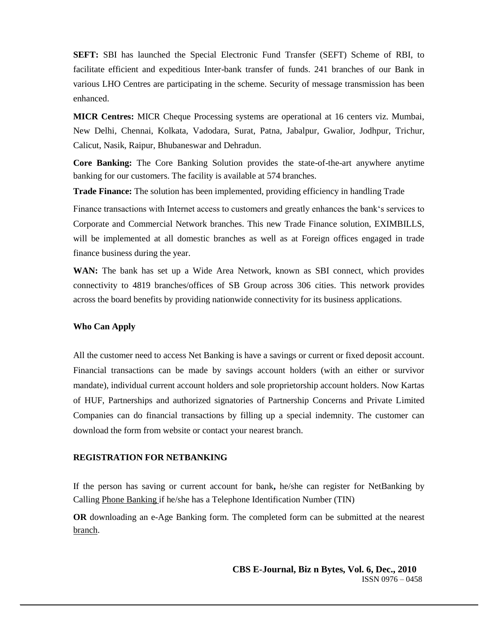**SEFT:** SBI has launched the Special Electronic Fund Transfer (SEFT) Scheme of RBI, to facilitate efficient and expeditious Inter-bank transfer of funds. 241 branches of our Bank in various LHO Centres are participating in the scheme. Security of message transmission has been enhanced.

**MICR Centres:** MICR Cheque Processing systems are operational at 16 centers viz. Mumbai, New Delhi, Chennai, Kolkata, Vadodara, Surat, Patna, Jabalpur, Gwalior, Jodhpur, Trichur, Calicut, Nasik, Raipur, Bhubaneswar and Dehradun.

**Core Banking:** The Core Banking Solution provides the state-of-the-art anywhere anytime banking for our customers. The facility is available at 574 branches.

**Trade Finance:** The solution has been implemented, providing efficiency in handling Trade

Finance transactions with Internet access to customers and greatly enhances the bank's services to Corporate and Commercial Network branches. This new Trade Finance solution, EXIMBILLS, will be implemented at all domestic branches as well as at Foreign offices engaged in trade finance business during the year.

**WAN:** The bank has set up a Wide Area Network, known as SBI connect, which provides connectivity to 4819 branches/offices of SB Group across 306 cities. This network provides across the board benefits by providing nationwide connectivity for its business applications.

#### **Who Can Apply**

All the customer need to access Net Banking is have a savings or current or fixed deposit account. Financial transactions can be made by savings account holders (with an either or survivor mandate), individual current account holders and sole proprietorship account holders. Now Kartas of HUF, Partnerships and authorized signatories of Partnership Concerns and Private Limited Companies can do financial transactions by filling up a special indemnity. The customer can download the form from website or contact your nearest branch.

## **REGISTRATION FOR NETBANKING**

If the person has saving or current account for bank**,** he/she can register for NetBanking by Calling [Phone Banking i](http://www.hdfcbank.com/ri/ri-eage-phb-numbers.htm)f he/she has a Telephone Identification Number (TIN)

**OR** downloading an e-Age Banking form. The completed form can be submitted at the nearest [branch.](javascript:branchWindow())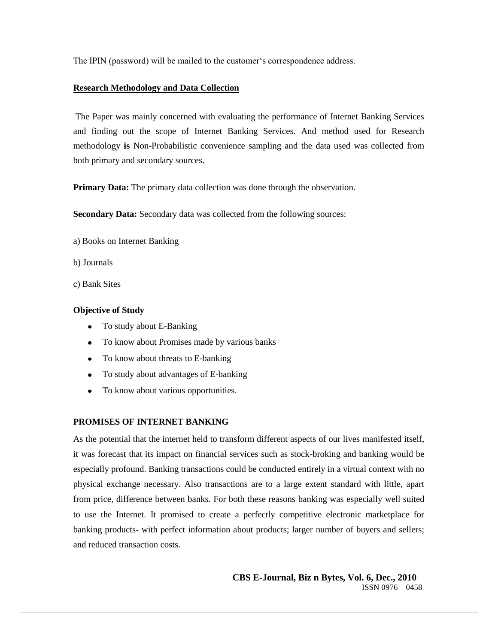The IPIN (password) will be mailed to the customer's correspondence address.

#### **Research Methodology and Data Collection**

The Paper was mainly concerned with evaluating the performance of Internet Banking Services and finding out the scope of Internet Banking Services. And method used for Research methodology **is** Non-Probabilistic convenience sampling and the data used was collected from both primary and secondary sources.

**Primary Data:** The primary data collection was done through the observation.

**Secondary Data:** Secondary data was collected from the following sources:

- a) Books on Internet Banking
- b) Journals
- c) Bank Sites

#### **Objective of Study**

- To study about E-Banking
- To know about Promises made by various banks
- To know about threats to E-banking
- To study about advantages of E-banking
- To know about various opportunities.

#### **PROMISES OF INTERNET BANKING**

As the potential that the internet held to transform different aspects of our lives manifested itself, it was forecast that its impact on financial services such as stock-broking and banking would be especially profound. Banking transactions could be conducted entirely in a virtual context with no physical exchange necessary. Also transactions are to a large extent standard with little, apart from price, difference between banks. For both these reasons banking was especially well suited to use the Internet. It promised to create a perfectly competitive electronic marketplace for banking products- with perfect information about products; larger number of buyers and sellers; and reduced transaction costs.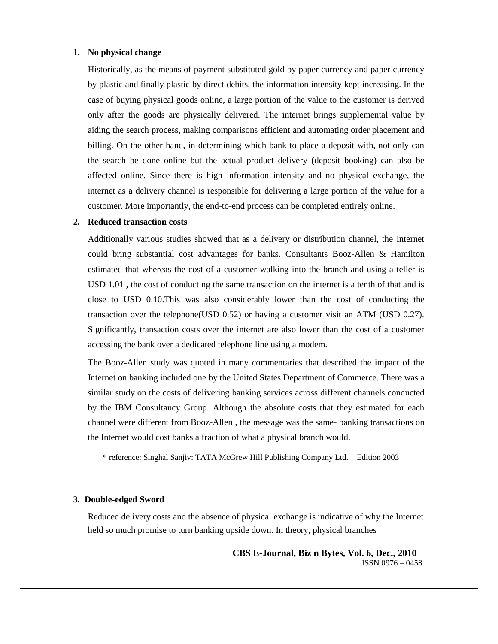#### **1. No physical change**

Historically, as the means of payment substituted gold by paper currency and paper currency by plastic and finally plastic by direct debits, the information intensity kept increasing. In the case of buying physical goods online, a large portion of the value to the customer is derived only after the goods are physically delivered. The internet brings supplemental value by aiding the search process, making comparisons efficient and automating order placement and billing. On the other hand, in determining which bank to place a deposit with, not only can the search be done online but the actual product delivery (deposit booking) can also be affected online. Since there is high information intensity and no physical exchange, the internet as a delivery channel is responsible for delivering a large portion of the value for a customer. More importantly, the end-to-end process can be completed entirely online.

#### **2. Reduced transaction costs**

Additionally various studies showed that as a delivery or distribution channel, the Internet could bring substantial cost advantages for banks. Consultants Booz-Allen & Hamilton estimated that whereas the cost of a customer walking into the branch and using a teller is USD 1.01 , the cost of conducting the same transaction on the internet is a tenth of that and is close to USD 0.10.This was also considerably lower than the cost of conducting the transaction over the telephone(USD 0.52) or having a customer visit an ATM (USD 0.27). Significantly, transaction costs over the internet are also lower than the cost of a customer accessing the bank over a dedicated telephone line using a modem.

The Booz-Allen study was quoted in many commentaries that described the impact of the Internet on banking included one by the United States Department of Commerce. There was a similar study on the costs of delivering banking services across different channels conducted by the IBM Consultancy Group. Although the absolute costs that they estimated for each channel were different from Booz-Allen , the message was the same- banking transactions on the Internet would cost banks a fraction of what a physical branch would.

\* reference: Singhal Sanjiv: TATA McGrew Hill Publishing Company Ltd. – Edition 2003

#### **3. Double-edged Sword**

Reduced delivery costs and the absence of physical exchange is indicative of why the Internet held so much promise to turn banking upside down. In theory, physical branches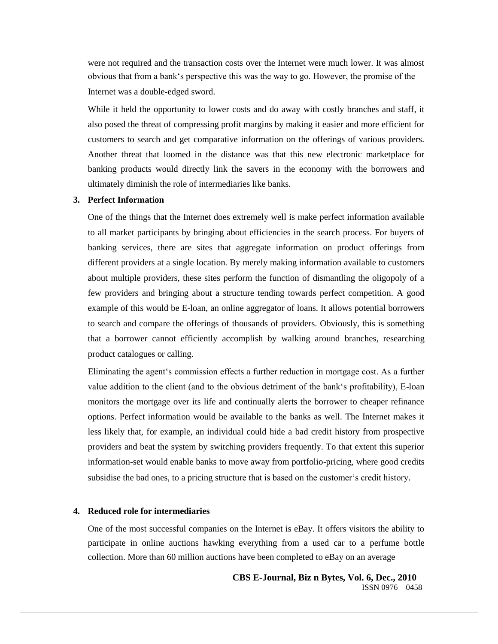were not required and the transaction costs over the Internet were much lower. It was almost obvious that from a bank's perspective this was the way to go. However, the promise of the Internet was a double-edged sword.

While it held the opportunity to lower costs and do away with costly branches and staff, it also posed the threat of compressing profit margins by making it easier and more efficient for customers to search and get comparative information on the offerings of various providers. Another threat that loomed in the distance was that this new electronic marketplace for banking products would directly link the savers in the economy with the borrowers and ultimately diminish the role of intermediaries like banks.

#### **3. Perfect Information**

One of the things that the Internet does extremely well is make perfect information available to all market participants by bringing about efficiencies in the search process. For buyers of banking services, there are sites that aggregate information on product offerings from different providers at a single location. By merely making information available to customers about multiple providers, these sites perform the function of dismantling the oligopoly of a few providers and bringing about a structure tending towards perfect competition. A good example of this would be E-loan, an online aggregator of loans. It allows potential borrowers to search and compare the offerings of thousands of providers. Obviously, this is something that a borrower cannot efficiently accomplish by walking around branches, researching product catalogues or calling.

Eliminating the agent's commission effects a further reduction in mortgage cost. As a further value addition to the client (and to the obvious detriment of the bank's profitability), E-loan monitors the mortgage over its life and continually alerts the borrower to cheaper refinance options. Perfect information would be available to the banks as well. The Internet makes it less likely that, for example, an individual could hide a bad credit history from prospective providers and beat the system by switching providers frequently. To that extent this superior information-set would enable banks to move away from portfolio-pricing, where good credits subsidise the bad ones, to a pricing structure that is based on the customer's credit history.

#### **4. Reduced role for intermediaries**

One of the most successful companies on the Internet is eBay. It offers visitors the ability to participate in online auctions hawking everything from a used car to a perfume bottle collection. More than 60 million auctions have been completed to eBay on an average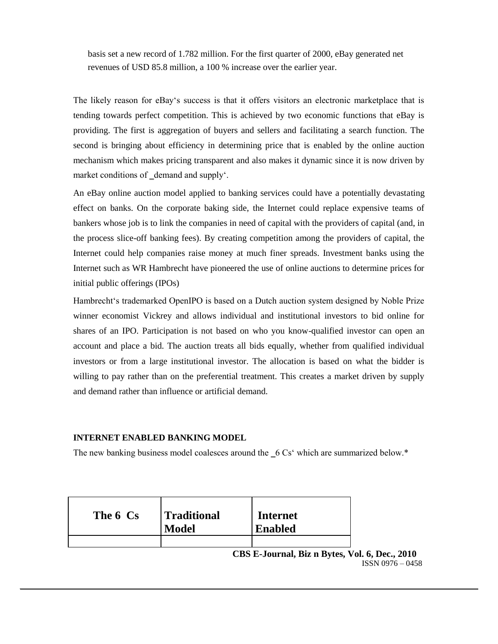basis set a new record of 1.782 million. For the first quarter of 2000, eBay generated net revenues of USD 85.8 million, a 100 % increase over the earlier year.

The likely reason for eBay's success is that it offers visitors an electronic marketplace that is tending towards perfect competition. This is achieved by two economic functions that eBay is providing. The first is aggregation of buyers and sellers and facilitating a search function. The second is bringing about efficiency in determining price that is enabled by the online auction mechanism which makes pricing transparent and also makes it dynamic since it is now driven by market conditions of \_demand and supply'.

An eBay online auction model applied to banking services could have a potentially devastating effect on banks. On the corporate baking side, the Internet could replace expensive teams of bankers whose job is to link the companies in need of capital with the providers of capital (and, in the process slice-off banking fees). By creating competition among the providers of capital, the Internet could help companies raise money at much finer spreads. Investment banks using the Internet such as WR Hambrecht have pioneered the use of online auctions to determine prices for initial public offerings (IPOs)

Hambrecht's trademarked OpenIPO is based on a Dutch auction system designed by Noble Prize winner economist Vickrey and allows individual and institutional investors to bid online for shares of an IPO. Participation is not based on who you know-qualified investor can open an account and place a bid. The auction treats all bids equally, whether from qualified individual investors or from a large institutional investor. The allocation is based on what the bidder is willing to pay rather than on the preferential treatment. This creates a market driven by supply and demand rather than influence or artificial demand.

#### **INTERNET ENABLED BANKING MODEL**

The new banking business model coalesces around the  $\angle$ 6 Cs<sup> $\cdot$ </sup> which are summarized below. $*$ 

| The 6 Cs | Traditional<br><b>Model</b> | <b>Internet</b><br><b>Enabled</b> |
|----------|-----------------------------|-----------------------------------|
|          |                             |                                   |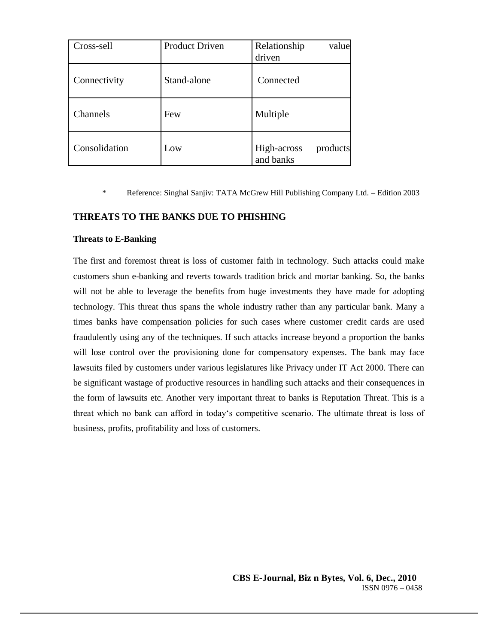| Cross-sell    | <b>Product Driven</b> | Relationship<br>value<br>driven      |
|---------------|-----------------------|--------------------------------------|
| Connectivity  | Stand-alone           | Connected                            |
| Channels      | Few                   | Multiple                             |
| Consolidation | Low                   | High-across<br>products<br>and banks |

\* Reference: Singhal Sanjiv: TATA McGrew Hill Publishing Company Ltd. – Edition 2003

# **THREATS TO THE BANKS DUE TO PHISHING**

#### **Threats to E-Banking**

The first and foremost threat is loss of customer faith in technology. Such attacks could make customers shun e-banking and reverts towards tradition brick and mortar banking. So, the banks will not be able to leverage the benefits from huge investments they have made for adopting technology. This threat thus spans the whole industry rather than any particular bank. Many a times banks have compensation policies for such cases where customer credit cards are used fraudulently using any of the techniques. If such attacks increase beyond a proportion the banks will lose control over the provisioning done for compensatory expenses. The bank may face lawsuits filed by customers under various legislatures like Privacy under IT Act 2000. There can be significant wastage of productive resources in handling such attacks and their consequences in the form of lawsuits etc. Another very important threat to banks is Reputation Threat. This is a threat which no bank can afford in today's competitive scenario. The ultimate threat is loss of business, profits, profitability and loss of customers.